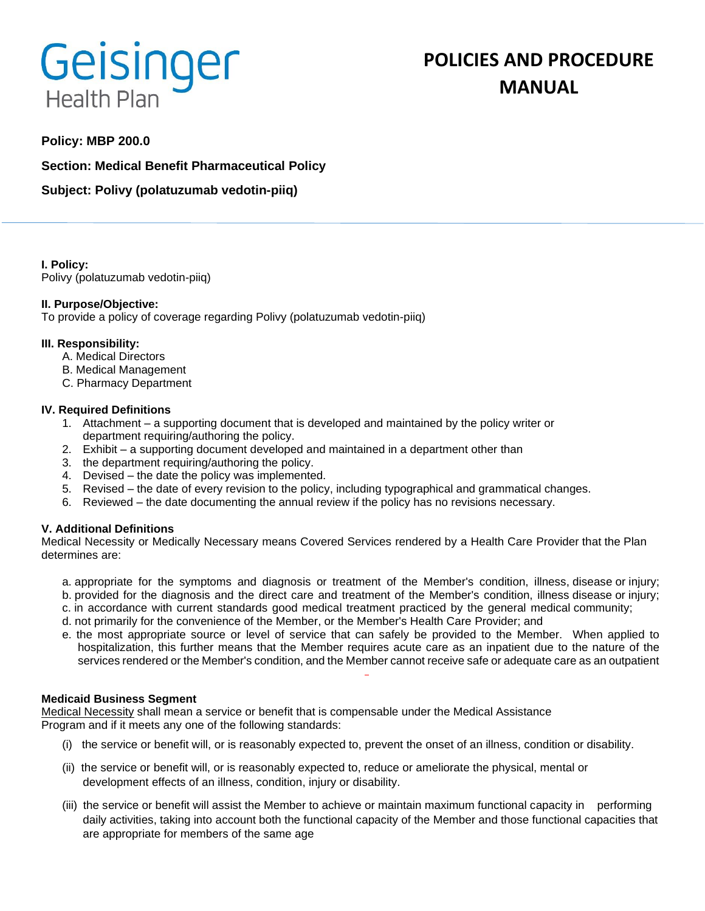# Geisinger **Health Plan**

# **POLICIES AND PROCEDURE MANUAL**

# **Policy: MBP 200.0**

**Section: Medical Benefit Pharmaceutical Policy**

**Subject: Polivy (polatuzumab vedotin-piiq)**

**I. Policy:** Polivy (polatuzumab vedotin-piiq)

# **II. Purpose/Objective:**

To provide a policy of coverage regarding Polivy (polatuzumab vedotin-piiq)

#### **III. Responsibility:**

- A. Medical Directors
- B. Medical Management
- C. Pharmacy Department

#### **IV. Required Definitions**

- 1. Attachment a supporting document that is developed and maintained by the policy writer or department requiring/authoring the policy.
- 2. Exhibit a supporting document developed and maintained in a department other than
- 3. the department requiring/authoring the policy.
- 4. Devised the date the policy was implemented.
- 5. Revised the date of every revision to the policy, including typographical and grammatical changes.
- 6. Reviewed the date documenting the annual review if the policy has no revisions necessary.

# **V. Additional Definitions**

Medical Necessity or Medically Necessary means Covered Services rendered by a Health Care Provider that the Plan determines are:

- a. appropriate for the symptoms and diagnosis or treatment of the Member's condition, illness, disease or injury; b. provided for the diagnosis and the direct care and treatment of the Member's condition, illness disease or injury;
- c. in accordance with current standards good medical treatment practiced by the general medical community;
- d. not primarily for the convenience of the Member, or the Member's Health Care Provider; and
- e. the most appropriate source or level of service that can safely be provided to the Member. When applied to hospitalization, this further means that the Member requires acute care as an inpatient due to the nature of the services rendered or the Member's condition, and the Member cannot receive safe or adequate care as an outpatient

#### **Medicaid Business Segment**

Medical Necessity shall mean a service or benefit that is compensable under the Medical Assistance Program and if it meets any one of the following standards:

- (i) the service or benefit will, or is reasonably expected to, prevent the onset of an illness, condition or disability.
- (ii) the service or benefit will, or is reasonably expected to, reduce or ameliorate the physical, mental or development effects of an illness, condition, injury or disability.
- (iii) the service or benefit will assist the Member to achieve or maintain maximum functional capacity in performing daily activities, taking into account both the functional capacity of the Member and those functional capacities that are appropriate for members of the same age